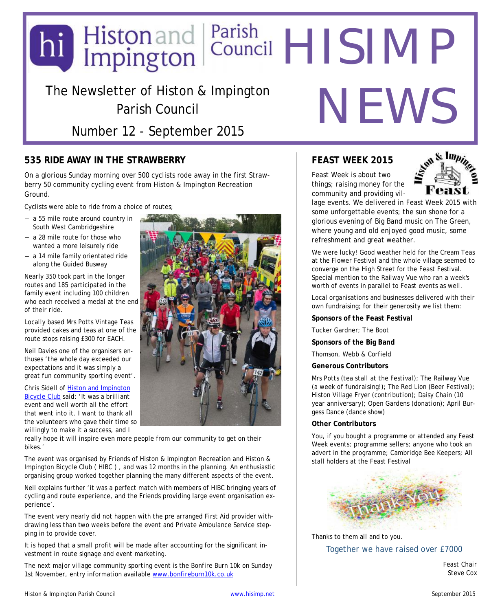## The Newsletter of Histon & Impington Parish Council hi Histon and Parish<br>Impington Council HISIMP NEWS

Number 12 - September 2015

#### **535 RIDE AWAY IN THE STRAWBERRY**

On a glorious Sunday morning over 500 cyclists rode away in the first Strawberry 50 community cycling event from Histon & Impington Recreation Ground.

Cyclists were able to ride from a choice of routes;

- a 55 mile route around country in South West Cambridgeshire
- a 28 mile route for those who wanted a more leisurely ride
- a 14 mile family orientated ride along the Guided Busway

Nearly 350 took part in the longer routes and 185 participated in the family event including 100 children who each received a medal at the end of their ride.

Locally based Mrs Potts Vintage Teas provided cakes and teas at one of the route stops raising £300 for EACH.

Neil Davies one of the organisers enthuses 'the whole day exceeded our expectations and it was simply a great fun community sporting event'.

Chris Sidell of Histon and Impington [Bicycle Club said: 'It was a brilliant](http://www.histonimpingtonbicycleclub.org.uk/) event and well worth all the effort that went into it. I want to thank all the volunteers who gave their time so willingly to make it a success, and I



really hope it will inspire even more people from our community to get on their bikes.'

The event was organised by Friends of Histon & Impington Recreation and Histon & Impington Bicycle Club ( HIBC ) , and was 12 months in the planning. An enthusiastic organising group worked together planning the many different aspects of the event.

Neil explains further 'it was a perfect match with members of HIBC bringing years of cycling and route experience, and the Friends providing large event organisation experience'.

The event very nearly did not happen with the pre arranged First Aid provider withdrawing less than two weeks before the event and Private Ambulance Service stepping in to provide cover.

It is hoped that a small profit will be made after accounting for the significant investment in route signage and event marketing.

The next major village community sporting event is the Bonfire Burn 10k on Sunday 1st November, entry information available [www.bonfireburn10k.co.uk](http://www.bonfireburn10k.co.uk/event/)

#### **FEAST WEEK 2015**

Feast Week is about two things; raising money for the community and providing vil-



lage events. We delivered in Feast Week 2015 with some unforgettable events; the sun shone for a glorious evening of Big Band music on The Green, where young and old enjoyed good music, some refreshment and great weather.

We were lucky! Good weather held for the Cream Teas at the Flower Festival and the whole village seemed to converge on the High Street for the Feast Festival. Special mention to the Railway Vue who ran a week's worth of events in parallel to Feast events as well.

Local organisations and businesses delivered with their own fundraising; for their generosity we list them:

**Sponsors of the Feast Festival**

Tucker Gardner; The Boot

**Sponsors of the Big Band**

Thomson, Webb & Corfield

**Generous Contributors**

Mrs Potts (*tea stall at the Festival*); The Railway Vue (*a week of fundraising!*); The Red Lion (*Beer Festival*); Histon Village Fryer (*contribution*); Daisy Chain (*10 year anniversary*); Open Gardens (*donation*); April Burgess Dance (*dance show*)

#### **Other Contributors**

You, if you bought a programme or attended any Feast Week events; programme sellers; anyone who took an advert in the programme; Cambridge Bee Keepers; All stall holders at the Feast Festival



Thanks to them all and to you.

*Together we have raised over £7000*

*Feast Chair Steve Cox*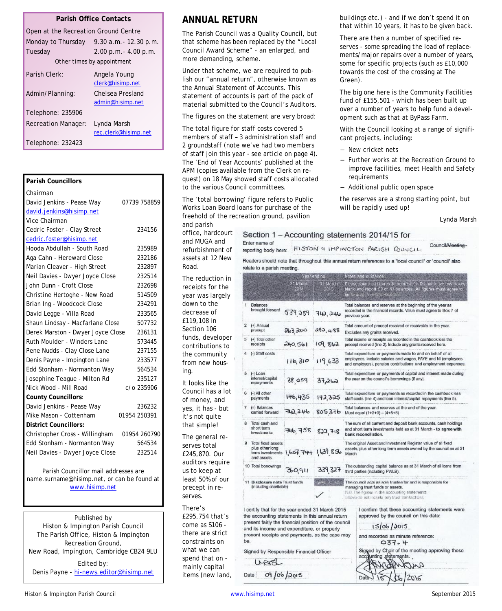#### **Parish Office Contacts**

| Open at the Recreation Ground Centre |                                      |  |  |  |
|--------------------------------------|--------------------------------------|--|--|--|
| Monday to Thursday                   | 9.30 a.m. - 12.30 p.m.               |  |  |  |
| Tuesday                              | $2.00$ p.m. $- 4.00$ p.m.            |  |  |  |
| Other times by appointment           |                                      |  |  |  |
| Parish Clerk:                        | Angela Young<br>clerk@hisimp.net     |  |  |  |
| Admin/Planning:                      | Chelsea Presland<br>admin@hisimp.net |  |  |  |
| Telephone: 235906                    |                                      |  |  |  |
| <b>Recreation Manager:</b>           | Lynda Marsh                          |  |  |  |
|                                      | rec.clerk@hisimp.net                 |  |  |  |
| Telephone: 232423                    |                                      |  |  |  |

| <b>Parish Councillors</b>         |              |
|-----------------------------------|--------------|
| Chairman                          |              |
| David Jenkins - Pease Way         | 07739 758859 |
| david.jenkins@hisimp.net          |              |
| Vice Chairman                     |              |
| Cedric Foster - Clay Street       | 234156       |
| cedric.foster@hisimp.net          |              |
| Hooda Abdullah - South Road       | 235989       |
| Aga Cahn - Hereward Close         | 232186       |
| Marian Cleaver - High Street      | 232897       |
| Neil Davies - Dwyer Joyce Close   | 232514       |
| John Dunn - Croft Close           | 232698       |
| Christine Hertoghe - New Road     | 514509       |
| Brian Ing - Woodcock Close        | 234291       |
| David Legge - Villa Road          | 233565       |
| Shaun Lindsay - Macfarlane Close  | 507732       |
| Derek Marston - Dwyer Joyce Close | 236131       |
| Ruth Moulder - Winders Lane       | 573445       |
| Pene Nudds - Clay Close Lane      | 237155       |
| Denis Payne - Impington Lane      | 233577       |
| Edd Stonham - Normanton Way       | 564534       |
| Josephine Teague - Milton Rd      | 235127       |
| Nick Wood - Mill Road             | c/o 235906   |
| County Councillors:               |              |
| David Jenkins - Pease Way         | 236232       |
| Mike Mason - Cottenham            | 01954 250391 |
| <b>District Councillors:</b>      |              |
| Christopher Cross - Willingham    | 01954 260790 |
| Edd Stonham - Normanton Way       | 564534       |
| Neil Davies - Dwyer Joyce Close   | 232514       |
|                                   |              |

Parish Councillor mail addresses are name.surname@hisimp.net, or can be found at [www.hisimp.net](http://www.hisimp.net/)

Published by Histon & Impington Parish Council The Parish Office, Histon & Impington Recreation Ground, New Road, Impington, Cambridge CB24 9LU Edited by:

Denis Payne - [hi-news.editor@hisimp.net](mailto:hi-news.editor@hisimp.net)

#### **ANNUAL RETURN**

The Parish Council was a Quality Council, but that scheme has been replaced by the "Local Council Award Scheme" - an enlarged, and more demanding, scheme.

Under that scheme, we are required to publish our "annual return", otherwise known as the Annual Statement of Accounts. This statement of accounts is part of the pack of material submitted to the Council's Auditors.

The figures on the statement are very broad:

The total figure for staff costs covered 5 members of staff – 3 administration staff and 2 groundstaff (note we've had two members of staff join this year - see article on page 4). The 'End of Year Accounts' published at the APM (copies available from the Clerk on request) on 18 May showed staff costs allocated to the various Council committees.

The 'total borrowing' figure refers to Public Works Loan Board loans for purchase of the freehold of the recreation ground, pavilion and parish

office, hardcourt and MUGA and refurbishment of assets at 12 New Road.

The reduction in receipts for the year was largely down to the decrease of £119,108 in Section 106 funds, developer contributions to the community from new housing.

It looks like the Council has a lot of money, and yes, it has - but it's not quite that simple!

The general reserves total £245,870. Our auditors require us to keep at least 50% of our precept in reserves.

There's £295,754 that's come as S106 there are strict constraints on what we can spend that on mainly capital items (new land, buildings etc.) - and if we don't spend it on that within 10 years, it has to be given back.

There are then a number of specified reserves - some spreading the load of replacements/major repairs over a number of years, some for specific projects (such as £10,000 towards the cost of the crossing at The Green).

The big one here is the Community Facilities fund of £155,501 - which has been built up over a number of years to help fund a development such as that at ByPass Farm.

With the Council looking at a range of significant projects, including:

- New cricket nets
- Further works at the Recreation Ground to improve facilities, meet Health and Safety requirements
- Additional public open space

the reserves are a strong starting point, but will be rapidly used up!

*Lynda Marsh*

|                                                          | Enter name of<br>reporting body here:                                                                                                                                                                                                                       |                                 |                                                                                                                                                                                                 |                                                                                                                                                           | Section 1 - Accounting statements 2014/15 for<br>Council/Meeting-<br>HISTON & IMPINGTON PARISH COUNCIL                                                                                        |
|----------------------------------------------------------|-------------------------------------------------------------------------------------------------------------------------------------------------------------------------------------------------------------------------------------------------------------|---------------------------------|-------------------------------------------------------------------------------------------------------------------------------------------------------------------------------------------------|-----------------------------------------------------------------------------------------------------------------------------------------------------------|-----------------------------------------------------------------------------------------------------------------------------------------------------------------------------------------------|
|                                                          | relate to a parish meeting.                                                                                                                                                                                                                                 |                                 |                                                                                                                                                                                                 |                                                                                                                                                           | Readers should note that throughout this annual return references to a 'local council' or 'council' also                                                                                      |
|                                                          |                                                                                                                                                                                                                                                             | Year ending<br>31 March<br>2014 | 31 March<br>2015<br>ĸ                                                                                                                                                                           |                                                                                                                                                           | Notes and guidance<br>Please round an figures to recordst £1. Do not leave any boxes<br>blank and report £0 or NII belances. All figures must agree to<br>underfører linandas records.        |
| i                                                        | <b>Balances</b><br>brought forward                                                                                                                                                                                                                          | 539,289                         | 742, 246                                                                                                                                                                                        |                                                                                                                                                           | Total balances and reserves at the beginning of the year as<br>recorded in the financial records. Value must agree to Box 7 of<br>previous year.                                              |
| 2                                                        | (+) Annual<br>precept                                                                                                                                                                                                                                       | 263,200                         | 282,488                                                                                                                                                                                         | Total amount of precept received or receivable in the year.<br>Excludes any grants received.                                                              |                                                                                                                                                                                               |
| з.                                                       | (+) Total other<br>receipts                                                                                                                                                                                                                                 | 240.561                         | 109.862                                                                                                                                                                                         | Total income or receipts as recorded in the cashbook less the<br>precept received (line 2). Include any grants received here.                             |                                                                                                                                                                                               |
|                                                          | [-] Staff costs                                                                                                                                                                                                                                             | 116,310                         | 119,633                                                                                                                                                                                         |                                                                                                                                                           | Total expenditure or payments made to and on behalf of all<br>employees, include salaries and wages, PAYE and NI (employees<br>and employers), pension contributions and employment expenses. |
| 5                                                        | - Loan<br>interest/capital<br>repayments                                                                                                                                                                                                                    | 38.059                          | 37,262                                                                                                                                                                                          | Total expenditure or payments of capital and interest made during<br>the year on the council's borrowings (if any).                                       |                                                                                                                                                                                               |
| 6                                                        | (-) All other<br>payments                                                                                                                                                                                                                                   | 146,435                         | 172,325                                                                                                                                                                                         | Total expenditure or payments as recorded in the cashbook less<br>staff costs (line 4) and loan interest/capital repayments (line 5).                     |                                                                                                                                                                                               |
| 7                                                        | $(=)$ Balances<br>carried forward                                                                                                                                                                                                                           | 742,246                         | 805376                                                                                                                                                                                          | Total belances and reserves at the end of the year.<br>Must equal (1+2+3) - (4+5+6)                                                                       |                                                                                                                                                                                               |
| 8                                                        | Total cash and<br>short term<br>investments                                                                                                                                                                                                                 | 746, 758                        | 822,718                                                                                                                                                                                         | The sum of all current and deposit bank accounts, cash holdings<br>and short term investments held as at 31 March - to agree with<br>bank reconciliation. |                                                                                                                                                                                               |
| 9                                                        | Total fixed assets<br>plus other long<br>term investments 1, 667 744 1639 856<br>and assets                                                                                                                                                                 |                                 |                                                                                                                                                                                                 | The original Asset and Investment Register value of all fixed<br>assets, plus other long term assets owned by the council as at 31<br>March               |                                                                                                                                                                                               |
|                                                          | 10 Total borrowings                                                                                                                                                                                                                                         | 360,911                         | 339, 327                                                                                                                                                                                        | The outstanding capital balance as at 31 March of all loans from<br>third parties (including PWLB).                                                       |                                                                                                                                                                                               |
| 11 Disclosure note Trust funds<br>(including charitable) |                                                                                                                                                                                                                                                             | $-00$                           | The council acts as sole trustee for and is responsible for<br>managing trust funds or assets.<br>N.B. The figures in the accounting statements<br>above do not include any trust transactions. |                                                                                                                                                           |                                                                                                                                                                                               |
| be.                                                      | I certify that for the year ended 31 March 2015<br>the accounting statements in this annual return<br>present fairly the financial position of the council<br>and its income and expenditure, or properly<br>present receipts and payments, as the case may |                                 |                                                                                                                                                                                                 |                                                                                                                                                           | I confirm that these accounting statements were<br>approved by the council on this date:<br>15/06/2015<br>and recorded as minute reference:<br>037.4                                          |
|                                                          | Signed by Responsible Financial Officer                                                                                                                                                                                                                     |                                 |                                                                                                                                                                                                 |                                                                                                                                                           | Signed by Chair of the meeting approving these<br>nting elatemente                                                                                                                            |

Date

URB

09/06/2015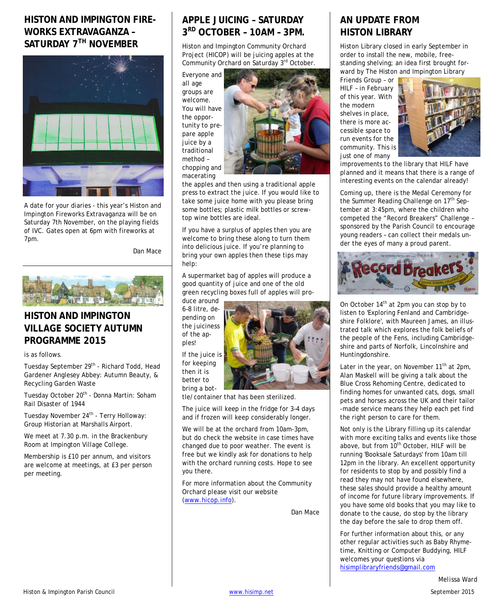## **HISTON AND IMPINGTON FIRE-WORKS EXTRAVAGANZA – SATURDAY 7TH NOVEMBER**



A date for your diaries - this year's Histon and Impington Fireworks Extravaganza will be on Saturday 7th November, on the playing fields of IVC. Gates open at 6pm with fireworks at 7pm.

*Dan Mace*



#### **HISTON AND IMPINGTON VILLAGE SOCIETY AUTUMN PROGRAMME 2015**

is as follows.

Tuesday September 29<sup>th</sup> - Richard Todd, Head Gardener Anglesey Abbey: Autumn Beauty, & Recycling Garden Waste

Tuesday October 20<sup>th</sup> - Donna Martin: Soham Rail Disaster of 1944

Tuesday November 24<sup>th</sup> - Terry Holloway: Group Historian at Marshalls Airport.

We meet at 7.30 p.m. in the Brackenbury Room at Impington Village College.

Membership is £10 per annum, and visitors are welcome at meetings, at £3 per person per meeting.

## **APPLE JUICING – SATURDAY 3 RD OCTOBER – 10AM – 3PM.**

Histon and Impington Community Orchard Project (HICOP) will be juicing apples at the Community Orchard on Saturday 3rd October.

Everyone and all age groups are welcome. You will have the opportunity to prepare apple juice by a traditional method – chopping and macerating



the apples and then using a traditional apple press to extract the juice. If you would like to take some juice home with you please bring some bottles; plastic milk bottles or screwtop wine bottles are ideal.

If you have a surplus of apples then you are welcome to bring these along to turn them into delicious juice. If you're planning to bring your own apples then these tips may help:

A supermarket bag of apples will produce a good quantity of juice and one of the old green recycling boxes full of apples will pro-

duce around 6–8 litre, depending on the juiciness of the apples! If the juice is

for keeping then it is better to bring a bot-



tle/container that has been sterilized.

The juice will keep in the fridge for 3–4 days and if frozen will keep considerably longer.

We will be at the orchard from 10am-3pm, but do check the website in case times have changed due to poor weather. The event is free but we kindly ask for donations to help with the orchard running costs. Hope to see you there.

For more information about the Community Orchard please visit our website ([www.hicop.info](http://www.hicop.info/)).

*Dan Mace*

## **AN UPDATE FROM HISTON LIBRARY**

Histon Library closed in early September in order to install the new, mobile, freestanding shelving; an idea first brought forward by The Histon and Impington Library

Friends Group – or HILF – in February of this year. With the modern shelves in place, there is more accessible space to run events for the community. This is just one of many



improvements to the library that HILF have planned and it means that there is a range of interesting events on the calendar already!

Coming up, there is the Medal Ceremony for the Summer Reading Challenge on 17<sup>th</sup> September at 3:45pm, where the children who competed the "Record Breakers" Challenge – sponsored by the Parish Council to encourage young readers – can collect their medals under the eyes of many a proud parent.



On October  $14<sup>th</sup>$  at 2pm you can stop by to listen to 'Exploring Fenland and Cambridgeshire Folklore', with Maureen James, an illustrated talk which explores the folk beliefs of the people of the Fens, including Cambridgeshire and parts of Norfolk, Lincolnshire and Huntingdonshire.

Later in the year, on November  $11^{th}$  at 2pm, Alan Maskell will be giving a talk about the Blue Cross Rehoming Centre, dedicated to finding homes for unwanted cats, dogs, small pets and horses across the UK and their tailor -made service means they help each pet find the right person to care for them.

Not only is the Library filling up its calendar with more exciting talks and events like those above, but from 10<sup>th</sup> October, HILF will be running 'Booksale Saturdays' from 10am till 12pm in the library. An excellent opportunity for residents to stop by and possibly find a read they may not have found elsewhere, these sales should provide a healthy amount of income for future library improvements. If you have some old books that you may like to donate to the cause, do stop by the library the day before the sale to drop them off.

For further information about this, or any other regular activities such as Baby Rhymetime, Knitting or Computer Buddying, HILF welcomes your questions via [hisimplibraryfriends@gmail.com](mailto:hisimplibraryfriends@gmail.com)

*Melissa Ward*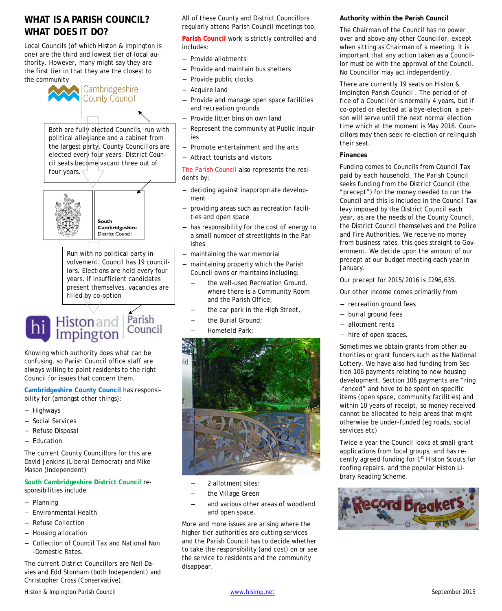#### **WHAT IS A PARISH COUNCIL? WHAT DOES IT DO?**

Local Councils (of which Histon & Impington is one) are the third and lowest tier of local authority. However, many might say they are the first tier in that they are the closest to the community



Cambridgeshire **County Council** 

Both are fully elected Councils, run with political allegiance and a cabinet from the largest party. County Councillors are elected every four years. District Council seats become vacant three out of four years.



South Cambridgeshire **District Council** 

Run with no political party involvement. Council has 19 councillors. Elections are held every four years. If insufficient candidates present themselves, vacancies are filled by co-option

# **hi** Histon and Parish

Knowing which authority does what can be confusing, so Parish Council office staff are always willing to point residents to the right Council for issues that concern them.

**Cambridgeshire County Council** has responsibility for (amongst other things):

- **Highways**
- Social Services
- Refuse Disposal
- Education

The current County Councillors for this are David Jenkins (Liberal Democrat) and Mike Mason (Independent)

**South Cambridgeshire District Council** responsibilities include

- Planning
- Environmental Health
- Refuse Collection
- Housing allocation
- Collection of Council Tax and National Non -Domestic Rates.

The current District Councillors are Neil Davies and Edd Stonham (both Independent) and Christopher Cross (Conservative).

All of these County and District Councillors regularly attend Parish Council meetings too.

**Parish Council** work is strictly controlled and includes:

- Provide allotments
- Provide and maintain bus shelters
- Provide public clocks
- Acquire land
- Provide and manage open space facilities and recreation grounds
- Provide litter bins on own land
- Represent the community at Public Inquiries
- Promote entertainment and the arts
- Attract tourists and visitors

The Parish Council also represents the residents by:

- deciding against inappropriate development
- providing areas such as recreation facilities and open space
- has responsibility for the cost of energy to a small number of streetlights in the Parishes
- maintaining the war memorial
- maintaining property which the Parish Council owns or maintains including:
	- the well-used Recreation Ground, where there is a Community Room and the Parish Office;
	- the car park in the High Street,
	- the Burial Ground;
	- Homefeld Park:



- 2 allotment sites;
- the Village Green
- and various other areas of woodland and open space.

More and more issues are arising where the higher tier authorities are cutting services and the Parish Council has to decide whether to take the responsibility (and cost) on or see the service to residents and the community disappear.

**Authority within the Parish Council**

The Chairman of the Council has no power over and above any other Councillor, except when sitting as Chairman of a meeting. It is important that any action taken as a Councillor must be with the approval of the Council. No Councillor may act independently.

There are currently 19 seats on Histon & Impington Parish Council . The period of office of a Councillor is normally 4 years, but if co-opted or elected at a bye-election, a person will serve until the next normal election time which at the moment is May 2016. Councillors may then seek re-election or relinquish their seat.

#### **Finances**

Funding comes to Councils from Council Tax paid by each household. The Parish Council seeks funding from the District Council (the "precept") for the money needed to run the Council and this is included in the Council Tax levy imposed by the District Council each year, as are the needs of the County Council, the District Council themselves and the Police and Fire Authorities. We receive no money from business rates, this goes straight to Government. We decide upon the amount of our precept at our budget meeting each year in January.

Our precept for 2015/2016 is £296,635.

Our other income comes primarily from

- recreation ground fees
- burial ground fees
- allotment rents
- hire of open spaces.

Sometimes we obtain grants from other authorities or grant funders such as the National Lottery. We have also had funding from Section 106 payments relating to new housing development. Section 106 payments are "ring -fenced" and have to be spent on specific items (open space, community facilities) and within 10 years of receipt, so money received cannot be allocated to help areas that might otherwise be under-funded (eg roads, social services etc)

Twice a year the Council looks at small grant applications from local groups, and has recently agreed funding for 1<sup>st</sup> Histon Scouts for roofing repairs, and the popular Histon Library Reading Scheme.

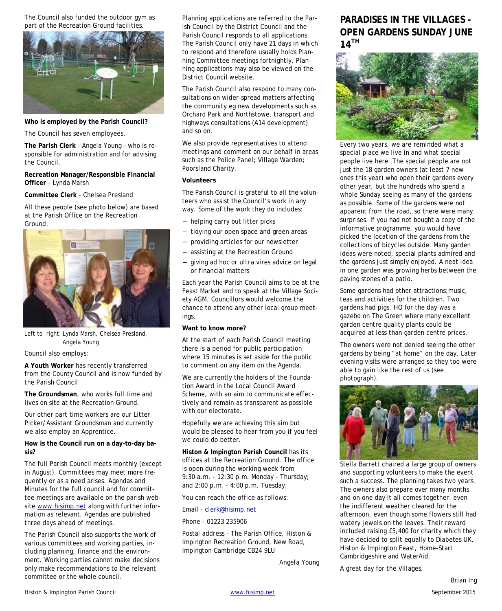The Council also funded the outdoor gym as part of the Recreation Ground facilities.



**Who is employed by the Parish Council?**

The Council has seven employees.

**The Parish Clerk** - Angela Young - who is responsible for administration and for advising the Council.

**Recreation Manager/Responsible Financial Officer** - Lynda Marsh

**Committee Clerk** - Chelsea Presland

All these people (see photo below) are based at the Parish Office on the Recreation Ground.



Left to right: Lynda Marsh, Chelsea Presland, Angela Young

Council also employs:

**A Youth Worker** has recently transferred from the County Council and is now funded by the Parish Council

**The Groundsman**, who works full time and lives on site at the Recreation Ground.

Our other part time workers are our Litter Picker/Assistant Groundsman and currently we also employ an Apprentice.

**How is the Council run on a day-to-day basis?**

The full Parish Council meets monthly (except in August). Committees may meet more frequently or as a need arises. Agendas and Minutes for the full council and for committee meetings are available on the parish website [www.hisimp.net](http://www.hisimp.net/) along with further information as relevant. Agendas are published three days ahead of meetings.

The Parish Council also supports the work of various committees and working parties, including planning, finance and the environment. Working parties cannot make decisions only make recommendations to the relevant committee or the whole council.

Planning applications are referred to the Parish Council by the District Council and the Parish Council responds to all applications. The Parish Council only have 21 days in which to respond and therefore usually holds Planning Committee meetings fortnightly. Planning applications may also be viewed on the District Council website.

The Parish Council also respond to many consultations on wider-spread matters affecting the community eg new developments such as Orchard Park and Northstowe, transport and highways consultations (A14 development) and so on.

We also provide representatives to attend meetings and comment on our behalf in areas such as the Police Panel; Village Warden; Poorsland Charity.

#### **Volunteers**

The Parish Council is grateful to all the volunteers who assist the Council's work in any way. Some of the work they do includes:

- helping carry out litter picks
- tidying our open space and green areas
- providing articles for our newsletter
- assisting at the Recreation Ground
- giving *ad hoc* or *ultra vires* advice on legal or financial matters

Each year the Parish Council aims to be at the Feast Market and to speak at the Village Society AGM. Councillors would welcome the chance to attend any other local group meetings.

**Want to know more?**

At the start of each Parish Council meeting there is a period for public participation where 15 minutes is set aside for the public to comment on any item on the Agenda.

We are currently the holders of the Foundation Award in the Local Council Award Scheme, with an aim to communicate effectively and remain as transparent as possible with our electorate.

Hopefully we are achieving this aim but would be pleased to hear from you if you feel we could do better.

**Histon & Impington Parish Council** has its offices at the Recreation Ground. The office is open during the working week from 9:30 a.m. - 12:30 p.m. Monday - Thursday; and 2:00 p.m. - 4:00 p.m. Tuesday.

You can reach the office as follows:

#### Email - [clerk@hisimp.net](mailto:clerk@hisimp.net)

Phone - 01223 235906

Postal address - The Parish Office, Histon & Impington Recreation Ground, New Road, Impington Cambridge CB24 9LU

*Angela Young*

#### **PARADISES IN THE VILLAGES - OPEN GARDENS SUNDAY JUNE 14TH**



Every two years, we are reminded what a special place we live in and what special people live here. The special people are not just the 18 garden owners (at least 7 new ones this year) who open their gardens every other year, but the hundreds who spend a whole Sunday seeing as many of the gardens as possible. Some of the gardens were not apparent from the road, so there were many surprises. If you had not bought a copy of the informative programme, you would have picked the location of the gardens from the collections of bicycles outside. Many garden ideas were noted, special plants admired and the gardens just simply enjoyed. A neat idea in one garden was growing herbs between the paving stones of a patio.

Some gardens had other attractions:music, teas and activities for the children. Two gardens had pigs. HQ for the day was a gazebo on The Green where many excellent garden centre quality plants could be acquired at less than garden centre prices.

The owners were not denied seeing the other gardens by being "at home" on the day. Later evening visits were arranged so they too were able to gain like the rest of us (see photograph).



Stella Barrett chaired a large group of owners and supporting volunteers to make the event such a success. The planning takes two years. The owners also prepare over many months and on one day it all comes together: even the indifferent weather cleared for the afternoon, even though some flowers still had watery jewels on the leaves. Their reward included raising £5,400 for charity which they have decided to split equally to Diabetes UK, Histon & Impington Feast, Home-Start Cambridgeshire and WaterAid.

A great day for the Villages.

*Brian Ing*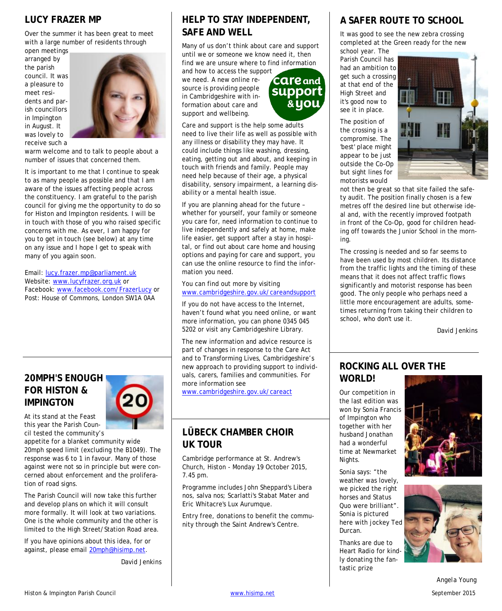#### **LUCY FRAZER MP**

Over the summer it has been great to meet with a large number of residents through

open meetings arranged by the parish council. It was a pleasure to meet residents and parish councillors in Impington in August. It was lovely to receive such a



warm welcome and to talk to people about a number of issues that concerned them.

It is important to me that I continue to speak to as many people as possible and that I am aware of the issues affecting people across the constituency. I am grateful to the parish council for giving me the opportunity to do so for Histon and Impington residents. I will be in touch with those of you who raised specific concerns with me. As ever, I am happy for you to get in touch (see below) at any time on any issue and I hope I get to speak with many of you again soon.

Email: [lucy.frazer.mp@parliament.uk](mailto:lucy.frazer.mp@parliament.uk) Website: [www.lucyfrazer.org.uk](http://www.lucyfrazer.org.uk/) or Facebook: [www.facebook.com/FrazerLucy](http://www.facebook.com/FrazerLucy) or Post: House of Commons, London SW1A 0AA

#### **20MPH'S ENOUGH FOR HISTON & IMPINGTON**



At its stand at the Feast this year the Parish Council tested the community's

appetite for a blanket community wide 20mph speed limit (excluding the B1049). The response was 6 to 1 in favour. Many of those against were not so in principle but were concerned about enforcement and the proliferation of road signs.

The Parish Council will now take this further and develop plans on which it will consult more formally. It will look at two variations. One is the whole community and the other is limited to the High Street/Station Road area.

If you have opinions about this idea, for or against, please email [20mph@hisimp.net](mailto:20mph@hisimp.net).

*David Jenkins*

## **HELP TO STAY INDEPENDENT, SAFE AND WELL**

Many of us don't think about care and support until we or someone we know need it, then find we are unsure where to find information

and how to access the support we need. A new online resource is providing people in Cambridgeshire with information about care and support and wellbeing.



Care and support is the help some adults need to live their life as well as possible with any illness or disability they may have. It could include things like washing, dressing, eating, getting out and about, and keeping in touch with friends and family. People may need help because of their age, a physical disability, sensory impairment, a learning disability or a mental health issue.

If you are planning ahead for the future – whether for yourself, your family or someone you care for, need information to continue to live independently and safely at home, make life easier, get support after a stay in hospital, or find out about care home and housing options and paying for care and support, you can use the online resource to find the information you need.

You can find out more by visiting [www.cambridgeshire.gov.uk/careandsupport](http://www.cambridgeshire.gov.uk/careandsupport)

If you do not have access to the Internet, haven't found what you need online, or want more information, you can phone 0345 045 5202 or visit any Cambridgeshire Library.

The new information and advice resource is part of changes in response to the Care Act and to Transforming Lives, Cambridgeshire's new approach to providing support to individuals, carers, families and communities. For more information see

[www.cambridgeshire.gov.uk/careact](http://www.cambridgeshire.gov.uk/careact)

#### **LÜBECK CHAMBER CHOIR UK TOUR**

Cambridge performance at St. Andrew's Church, Histon - Monday 19 October 2015, 7.45 pm.

Programme includes John Sheppard's Libera nos, salva nos; Scarlatti's Stabat Mater and Eric Whitacre's Lux Aurumque.

Entry free, donations to benefit the community through the Saint Andrew's Centre.

## **A SAFER ROUTE TO SCHOOL**

It was good to see the new zebra crossing completed at the Green ready for the new

school year. The Parish Council has had an ambition to get such a crossing at that end of the High Street and it's good now to see it in place.

The position of the crossing is a compromise. The 'best' place might appear to be just outside the Co-Op but sight lines for motorists would



not then be great so that site failed the safety audit. The position finally chosen is a few metres off the desired line but otherwise ideal and, with the recently improved footpath in front of the Co-Op, good for children heading off towards the Junior School in the morning.

The crossing is needed and so far seems to have been used by most children. Its distance from the traffic lights and the timing of these means that it does not affect traffic flows significantly and motorist response has been good. The only people who perhaps need a little more encouragement are adults, sometimes returning from taking their children to school, who don't use it.

*David Jenkins*

#### **ROCKING ALL OVER THE WORLD!**

Our competition in the last edition was won by Sonia Francis of Impington who together with her husband Jonathan had a wonderful time at Newmarket Nights.

Sonia says: "the weather was lovely, we picked the right horses and Status Quo were brilliant". Sonia is pictured here with jockey Ted Durcan.

Thanks are due to Heart Radio for kindly donating the fantastic prize





*Angela Young*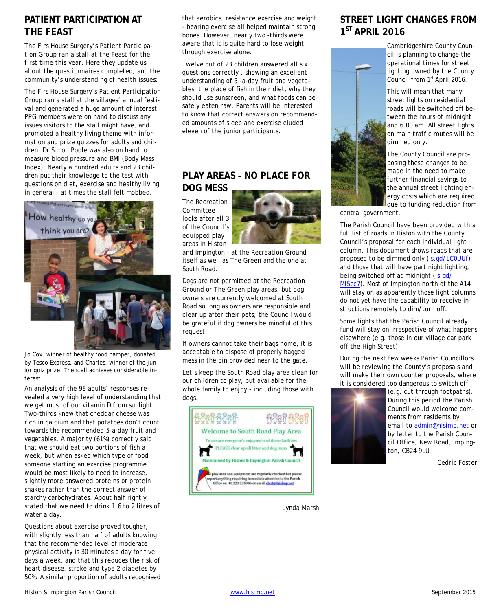#### **PATIENT PARTICIPATION AT THE FEAST**

*The Firs House Surgery's Patient Participation Group ran a stall at the Feast for the first time this year. Here they update us about the questionnaires completed, and the community's understanding of health issues:*

The Firs House Surgery's Patient Participation Group ran a stall at the villages' annual festival and generated a huge amount of interest. PPG members were on hand to discuss any issues visitors to the stall might have, and promoted a healthy living theme with information and prize quizzes for adults and children. Dr Simon Poole was also on hand to measure blood pressure and BMI (Body Mass Index). Nearly a hundred adults and 23 children put their knowledge to the test with questions on diet, exercise and healthy living in general - at times the stall felt mobbed.



Jo Cox, winner of healthy food hamper, donated by Tesco Express, and Charles, winner of the junior quiz prize. The stall achieves considerable interest.

An analysis of the 98 adults' responses revealed a very high level of understanding that we get most of our vitamin D from sunlight. Two-thirds knew that cheddar cheese was rich in calcium and that potatoes don't count towards the recommended 5-a-day fruit and vegetables. A majority (61%) correctly said that we should eat two portions of fish a week, but when asked which type of food someone starting an exercise programme would be most likely to need to increase, slightly more answered proteins or protein shakes rather than the correct answer of starchy carbohydrates. About half rightly stated that we need to drink 1.6 to 2 litres of water a day.

Questions about exercise proved tougher, with slightly less than half of adults knowing that the recommended level of moderate physical activity is 30 minutes a day for five days a week, and that this reduces the risk of heart disease, stroke and type 2 diabetes by 50%. A similar proportion of adults recognised

that aerobics, resistance exercise and weight - bearing exercise all helped maintain strong bones. However, nearly two -thirds were aware that it is quite hard to lose weight through exercise alone.

Twelve out of 23 children answered all six questions correctly , showing an excellent understanding of 5 -a-day fruit and vegetables, the place of fish in their diet, why they should use sunscreen, and what foods can be safely eaten raw. Parents will be interested to know that correct answers on recommended amounts of sleep and exercise eluded eleven of the junior participants.

#### **PLAY AREAS – NO PLACE FOR DOG MESS**

The Recreation Committee looks after all 3 of the Council's equipped play areas in Histon



and Impington - at the Recreation Ground itself as well as The Green and the one at South Road.

Dogs are not permitted at the Recreation Ground or The Green play areas, but dog owners are currently welcomed at South Road so long as owners are responsible and clear up after their pets; the Council would be grateful if dog owners be mindful of this request.

If owners cannot take their bags home, it is acceptable to dispose of properly bagged mess in the bin provided near to the gate.

Let's keep the South Road play area clean for our children to play, but available for the whole family to enjoy - including those with dogs.



*Lynda Marsh*

## **STREET LIGHT CHANGES FROM 1 ST APRIL 2016**



Cambridgeshire County Council is planning to change the operational times for street lighting owned by the County Council from 1<sup>st</sup> April 2016.

This will mean that many street lights on residential roads will be switched off between the hours of midnight and 6.00 am. All street lights on main traffic routes will be dimmed only.

The County Council are proposing these changes to be made in the need to make further financial savings to the annual street lighting energy costs which are required due to funding reduction from

central government.

The Parish Council have been provided with a full list of roads in Histon with the County Council's proposal for each individual light column. This document shows roads that are proposed to be dimmed only [\(is.gd/LC0UUf](http://is.gd/LC0UUf)) and those that will have part night lighting, being switched off at midnight (is.gd/ [Ml5cc7\). Most of Impington north of the A14](http://is.gd/Ml5cc7) will stay on as apparently those light columns do not yet have the capability to receive instructions remotely to dim/turn off.

Some lights that the Parish Council already fund will stay on irrespective of what happens elsewhere (e.g. those in our village car park off the High Street).

During the next few weeks Parish Councillors will be reviewing the County's proposals and will make their own counter proposals, where it is considered too dangerous to switch off



(e.g. cut through footpaths). During this period the Parish Council would welcome comments from residents by email to [admin@hisimp.net](mailto:admin@hisimp.net?subject=Street%20Lights) or by letter to the Parish Council Office, New Road, Impington, CB24 9LU

*Cedric Foster*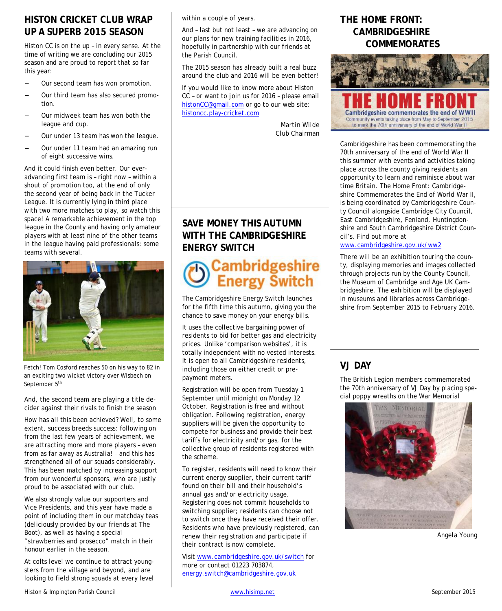#### **HISTON CRICKET CLUB WRAP UP A SUPERB 2015 SEASON**

Histon CC is on the up – in every sense. At the time of writing we are concluding our 2015 season and are proud to report that so far this year:

- Our second team has won promotion.
- Our third team has also secured promotion.
- Our midweek team has won both the league and cup.
- Our under 13 team has won the league.
- Our under 11 team had an amazing run of eight successive wins.

And it could finish even better. Our everadvancing first team is – right now – within a shout of promotion too, at the end of only the second year of being back in the Tucker League. It is currently lying in third place with two more matches to play, so watch this space! A remarkable achievement in the top league in the County and having only amateur players with at least nine of the other teams in the league having paid professionals: some teams with several.



Fetch! Tom Cosford reaches 50 on his way to 82 in an exciting two wicket victory over Wisbech on September 5<sup>th</sup>

And, the second team are playing a title decider against their rivals to finish the season

How has all this been achieved? Well, to some extent, success breeds success: following on from the last few years of achievement, we are attracting more and more players – even from as far away as Australia! – and this has strengthened all of our squads considerably. This has been matched by increasing support from our wonderful sponsors, who are justly proud to be associated with our club.

We also strongly value our supporters and Vice Presidents, and this year have made a point of including them in our matchday teas (deliciously provided by our friends at The Boot), as well as having a special "strawberries and prosecco" match in their honour earlier in the season.

At colts level we continue to attract youngsters from the village and beyond, and are looking to field strong squads at every level

And – last but not least – we are advancing on our plans for new training facilities in 2016, hopefully in partnership with our friends at the Parish Council.

The 2015 season has already built a real buzz around the club and 2016 will be even better!

If you would like to know more about Histon CC – or want to join us for 2016 – please email [histonCC@gmail.com](mailto:histonCC@gmail.com) or go to our web site: [histoncc.play-cricket.com](http://histoncc.play-cricket.com/)

> *Martin Wilde Club Chairman*

## **SAVE MONEY THIS AUTUMN WITH THE CAMBRIDGESHIRE ENERGY SWITCH**

## **Cambridgeshire**<br>**Energy Switch**

The Cambridgeshire Energy Switch launches for the fifth time this autumn, giving you the chance to save money on your energy bills.

It uses the collective bargaining power of residents to bid for better gas and electricity prices. Unlike 'comparison websites', it is totally independent with no vested interests. It is open to all Cambridgeshire residents, including those on either credit or prepayment meters.

Registration will be open from Tuesday 1 September until midnight on Monday 12 October. Registration is free and without obligation. Following registration, energy suppliers will be given the opportunity to compete for business and provide their best tariffs for electricity and/or gas, for the collective group of residents registered with the scheme.

To register, residents will need to know their current energy supplier, their current tariff found on their bill and their household's annual gas and/or electricity usage. Registering does not commit households to switching supplier; residents can choose not to switch once they have received their offer. Residents who have previously registered, can renew their registration and participate if their contract is now complete.

Visit [www.cambridgeshire.gov.uk/switch](http://bigcommunityswitch.ichoosr.com/Product/index.rails?=&utm_medium=web&location=cambridgeshire&actionId=422) for more or contact 01223 703874, [energy.switch@cambridgeshire.gov.uk](mailto:energy.switch@cambridgeshire.gov.uk)

#### **THE HOME FRONT: CAMBRIDGESHIRE COMMEMORATES**



Cambridgeshire has been commemorating the 70th anniversary of the end of World War II this summer with events and activities taking place across the county giving residents an opportunity to learn and reminisce about war time Britain. The Home Front: Cambridgeshire Commemorates the End of World War II, is being coordinated by Cambridgeshire County Council alongside Cambridge City Council, East Cambridgeshire, Fenland, Huntingdonshire and South Cambridgeshire District Council's. Find out more at

[www.cambridgeshire.gov.uk/ww2](http://www.cambridgeshire.gov.uk/ww2)

There will be an exhibition touring the county, displaying memories and images collected through projects run by the County Council, the Museum of Cambridge and Age UK Cambridgeshire. The exhibition will be displayed in museums and libraries across Cambridgeshire from September 2015 to February 2016.

## **VJ DAY**

The British Legion members commemorated the 70th anniversary of VJ Day by placing special poppy wreaths on the War Memorial



*Angela Young*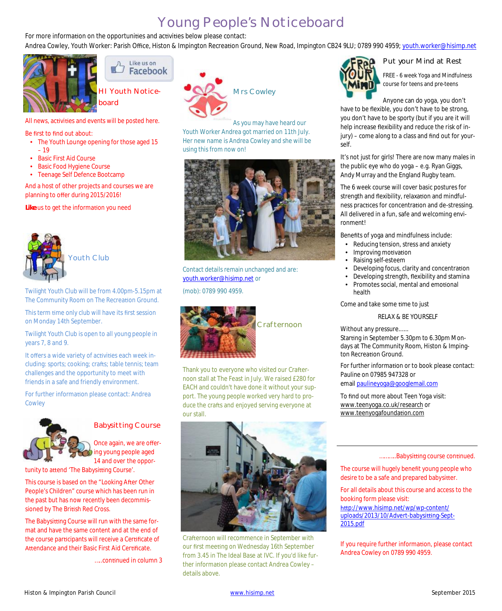## Young People's Noticeboard

For more information on the opportunities and activities below please contact:

Andrea Cowley, Youth Worker: Parish Office, Histon & Impington Recreation Ground, New Road, Impington CB24 9LU; 0789 990 4959; y[outh.worker@hisimp.net](mailto:youth.worker@hisimp.net)



Like us on Facebook

HI Youth Noticeboard

All news, activities and events will be posted here.

#### Be first to find out about:

- The Youth Lounge opening for those aged 15 – 19
- **Basic First Aid Course**
- **Basic Food Hygiene Course**
- Teenage Self Defence Bootcamp

And a host of other projects and courses we are planning to offer during 2015/2016!

Like us to get the information you need



Youth Club

Twilight Youth Club will be from 4.00pm-5.15pm at The Community Room on The Recreation Ground.

This term time only club will have its first session on Monday 14th September.

Twilight Youth Club is open to all young people in years 7, 8 and 9.

It offers a wide variety of activities each week including: sports; cooking; crafts; table tennis; team challenges and the opportunity to meet with friends in a safe and friendly environment.

For further information please contact: Andrea Cowley



#### Babysitting Course

Once again, we are offering young people aged 14 and over the oppor-

tunity to attend 'The Babysitting Course'.

This course is based on the "Looking After Other People's Children" course which has been run in the past but has now recently been decommissioned by The British Red Cross.

The Babysitting Course will run with the same format and have the same content and at the end of the course participants will receive a Certificate of Attendance and their Basic First Aid Certificate.

.....continued in column 3



Youth Worker Andrea got married on 11th July. Her new name is Andrea Cowley and she will be using this from now on!



Contact details remain unchanged and are: [youth.worker@hisimp.net](mailto:youth.worker@hisimp.net) or





Thank you to everyone who visited our Crafternoon stall at The Feast in July. We raised £280 for EACH and couldn't have done it without your support. The young people worked very hard to produce the crafts and enjoyed serving everyone at our stall.



Crafternoon will recommence in September with our first meeting on Wednesday 16th September from 3.45 in The Ideal Base at IVC. If you'd like further information please contact Andrea Cowley details above.



#### Put your Mind at Rest

FREE - 6 week Yoga and Mindfulness course for teens and pre-teens

Anyone can do yoga, you don't

have to be flexible, you don't have to be strong, you don't have to be sporty (but if you are it will help increase flexibility and reduce the risk of injury) – come along to a class and find out for yourself.

It's not just for girls! There are now many males in the public eye who do yoga – e.g. Ryan Giggs, Andy Murray and the England Rugby team.

The 6 week course will cover basic postures for strength and flexibility, relaxation and mindfulness practices for concentration and de-stressing. All delivered in a fun, safe and welcoming environment!

Benefits of yoga and mindfulness include:

- Reducing tension, stress and anxiety
- Improving motivation
- Raising self-esteem
- · Developing focus, clarity and concentration
- · Developing strength, flexibility and stamina
- Promotes social, mental and emotional health

Come and take some time to just

#### RELAX & BE YOURSELF

Without any pressure......

Starting in September 5.30pm to 6.30pm Mondays at The Community Room, Histon & Impington Recreation Ground.

For further information or to book please contact: Pauline on 07985 947328 or email [paulineyoga@googlemail.com](mailto:paulineyoga@googlemail.com)

To find out more about Teen Yoga visit: [www.teenyoga.co.uk/research](http://l.facebook.com/l.php?u=http%3A%2F%2Fwww.teenyoga.co.uk%2Fresearch&h=2AQFT3wGa&enc=AZOjuN0cCp5SHI6JniO7Q14Rg-1X55pcRYFp5nvt5VpY1aFViRkeCGEpbocSR0VdNmzrgxbw0biw3_1CcQKN9ZQMlftU5ukmLiBtiET5133LT-AFMISXrysAIhN23qC46n_aptL4_O4P-5vzbnsO3mebRke4I7z_BmqZ-Oa7phpbTDBoYUVAKsVFYPxSWeS-bY9Yj4pzr-FcGhyDuh8MAnhA&s=1) or [www.teenyogafounda](http://www.teenyogafoundation.com/)tion.com

#### ...........Babysitting course continued.

The course will hugely benefit young people who desire to be a safe and prepared babysitter.

For all details about this course and access to the booking form please visit: htt[p://www.hisimp.net/wp/wp-content/](http://www.hisimp.net/wp/wp-content/uploads/2013/10/Advert-babysitting-Sept-2015.pdf) uploads/2013/10/Advert-babysitting-Sept-2015.pdf

If you require further information, please contact Andrea Cowley on 0789 990 4959.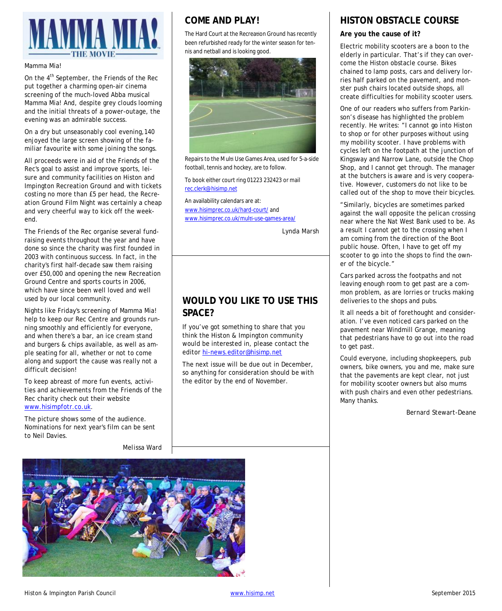

#### Mamma Mia!

On the 4<sup>th</sup> September, the Friends of the Rec put together a charming open-air cinema screening of the much-loved Abba musical Mamma Mia! And, despite grey clouds looming and the initial threats of a power-outage, the evening was an admirable success.

On a dry but unseasonably cool evening,140 enjoyed the large screen showing of the familiar favourite with some joining the songs.

All proceeds were in aid of the Friends of the Rec's goal to assist and improve sports, leisure and community facilities on Histon and Impington Recreation Ground and with tickets costing no more than £5 per head, the Recreation Ground Film Night was certainly a cheap and very cheerful way to kick off the weekend.

The Friends of the Rec organise several fundraising events throughout the year and have done so since the charity was first founded in 2003 with continuous success. In fact, in the charity's first half-decade saw them raising over £50,000 and opening the new Recreation Ground Centre and sports courts in 2006, which have since been well loved and well used by our local community.

Nights like Friday's screening of Mamma Mia! help to keep our Rec Centre and grounds running smoothly and efficiently for everyone, and when there's a bar, an ice cream stand and burgers & chips available, as well as ample seating for all, whether or not to come along and support the cause was really not a difficult decision!

To keep abreast of more fun events, activities and achievements from the Friends of the Rec charity check out their website [www.hisimpfotr.co.uk](http://www.hisimpfotr.co.uk/).

The picture shows some of the audience. Nominations for next year's film can be sent to Neil Davies.

#### **COME AND PLAY!**

The Hard Court at the Recreation Ground has recently been refurbished ready for the winter season for tennis and netball and is looking good.



Repairs to the Multi Use Games Area, used for 5-a-side football, tennis and hockey, are to follow.

To book either court ring 01223 232423 or mail [rec.clerk@hisimp.net](mailto:rec.clerk@hisimp.net?subject=Come%20and%20Play!%20Booking)

An availability calendars are at: [www.hisimprec.co.uk/hard-court/](http://www.hisimprec.co.uk/hard-court/) and [www.hisimprec.co.uk/mul](http://www.hisimprec.co.uk/multi-use-games-area/)ti-use-games-area/

*Lynda Marsh*

## **WOULD YOU LIKE TO USE THIS SPACE?**

If you've got something to share that you think the Histon & Impington community would be interested in, please contact the editor [hi-news.editor@hisimp.net](mailto:hi-news.editor@hisimp.net)

The next issue will be due out in December, so anything for consideration should be with the editor by the end of November.

## **HISTON OBSTACLE COURSE**

#### **Are you the cause of it?**

Electric mobility scooters are a boon to the elderly in particular. That's if they can overcome the Histon obstacle course. Bikes chained to lamp posts, cars and delivery lorries half parked on the pavement, and monster push chairs located outside shops, all create difficulties for mobility scooter users.

One of our readers who suffers from Parkinson's disease has highlighted the problem recently. He writes: "I cannot go into Histon to shop or for other purposes without using my mobility scooter. I have problems with cycles left on the footpath at the junction of Kingsway and Narrow Lane, outside the Chop Shop, and I cannot get through. The manager at the butchers is aware and is very cooperative. However, customers do not like to be called out of the shop to move their bicycles.

"Similarly, bicycles are sometimes parked against the wall opposite the pelican crossing near where the Nat West Bank used to be. As a result I cannot get to the crossing when I am coming from the direction of the Boot public house. Often, I have to get off my scooter to go into the shops to find the owner of the bicycle."

Cars parked across the footpaths and not leaving enough room to get past are a common problem, as are lorries or trucks making deliveries to the shops and pubs.

It all needs a bit of forethought and consideration. I've even noticed cars parked on the pavement near Windmill Grange, meaning that pedestrians have to go out into the road to get past.

Could everyone, including shopkeepers, pub owners, bike owners, you and me, make sure that the pavements are kept clear, not just for mobility scooter owners but also mums with push chairs and even other pedestrians. Many thanks.

*Bernard Stewart-Deane*

*Melissa Ward*

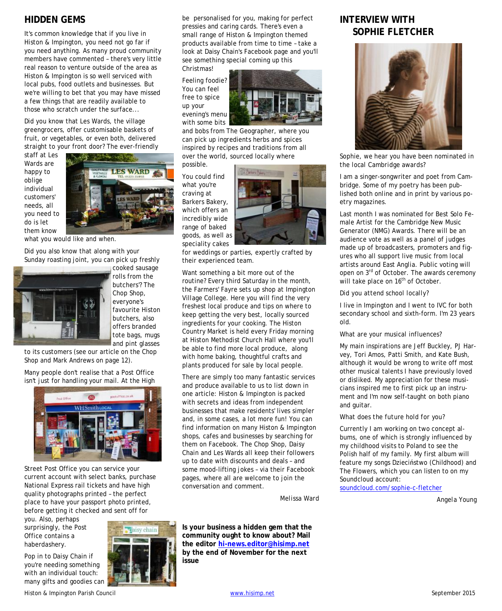#### **HIDDEN GEMS**

It's common knowledge that if you live in Histon & Impington, you need not go far if you need anything. As many proud community members have commented – there's very little real reason to venture outside of the area as Histon & Impington is so well serviced with local pubs, food outlets and businesses. But we're willing to bet that you may have missed a few things that are readily available to those who scratch under the surface...

Did you know that Les Wards, the village greengrocers, offer customisable baskets of fruit, or vegetables, or even both, delivered straight to your front door? The ever-friendly

staff at Les Wards are happy to oblige individual customers' needs, all you need to do is let them know



what you would like and when.

Did you also know that along with your Sunday roasting joint, you can pick up freshly



cooked sausage rolls from the butchers'? The Chop Shop, everyone's favourite Histon butchers, also offers branded tote bags, mugs and pint glasses

to its customers (see our article on the Chop Shop and Mark Andrews on page 12).

Many people don't realise that a Post Office isn't just for handling your mail. At the High



Street Post Office you can service your current account with select banks, purchase National Express rail tickets and have high quality photographs printed – the perfect place to have your passport photo printed, before getting it checked and sent off for

you. Also, perhaps surprisingly, the Post Office contains a haberdashery.

Pop in to Daisy Chain if you're needing something with an individual touch: many gifts and goodies can



be personalised for you, making for perfect pressies and caring cards. There's even a small range of Histon & Impington themed products available from time to time – take a look at Daisy Chain's Facebook page and you'll see something special coming up this Christmas!

Feeling foodie? You can feel free to spice up your evening's menu with some bits



and bobs from The Geographer, where you can pick up ingredients herbs and spices inspired by recipes and traditions from all over the world, sourced locally where

possible.

You could find what you're craving at Barkers Bakery, which offers an incredibly wide range of baked goods, as well as speciality cakes



for weddings or parties, expertly crafted by their experienced team.

Want something a bit more out of the routine? Every third Saturday in the month, the Farmers' Fayre sets up shop at Impington Village College. Here you will find the very freshest local produce and tips on where to keep getting the very best, locally sourced ingredients for your cooking. The Histon Country Market is held every Friday morning at Histon Methodist Church Hall where you'll be able to find more local produce, along with home baking, thoughtful crafts and plants produced for sale by local people.

There are simply too many fantastic services and produce available to us to list down in one article: Histon & Impington is packed with secrets and ideas from independent businesses that make residents' lives simpler and, in some cases, a lot more fun! You can find information on many Histon & Impington shops, cafes and businesses by searching for them on Facebook. The Chop Shop, Daisy Chain and Les Wards all keep their followers up to date with discounts and deals – and some mood-lifting jokes – via their Facebook pages, where all are welcome to join the conversation and comment.

*Melissa Ward*

**Is your business a hidden gem that the community ought to know about? Mail the editor [hi-news.editor@hisimp.net](mailto:hi-news.editor@hisimp.net?subject=Hidden%20Gems) by the end of November for the next issue**

### **INTERVIEW WITH SOPHIE FLETCHER**



*Sophie, we hear you have been nominated in the local Cambridge awards?*

I am a singer-songwriter and poet from Cambridge. Some of my poetry has been published both online and in print by various poetry magazines.

Last month I was nominated for Best Solo Female Artist for the Cambridge New Music Generator (NMG) Awards. There will be an audience vote as well as a panel of judges made up of broadcasters, promoters and figures who all support live music from local artists around East Anglia. Public voting will open on 3<sup>rd</sup> of October. The awards ceremony will take place on 16<sup>th</sup> of October.

*Did you attend school locally?*

I live in Impington and I went to IVC for both secondary school and sixth-form. I'm 23 years old.

#### *What are your musical influences?*

My main inspirations are Jeff Buckley, PJ Harvey, Tori Amos, Patti Smith, and Kate Bush, although it would be wrong to write off most other musical talents I have previously loved or disliked. My appreciation for these musicians inspired me to first pick up an instrument and I'm now self-taught on both piano and guitar.

#### *What does the future hold for you?*

Currently I am working on two concept albums, one of which is strongly influenced by my childhood visits to Poland to see the Polish half of my family. My first album will feature my songs Dzieciństwo (Childhood) and The Flowers, which you can listen to on my Soundcloud account:

[soundcloud.com/sophie-c-fletcher](https://soundcloud.com/sophie-c-fletcher)

*Angela Young*